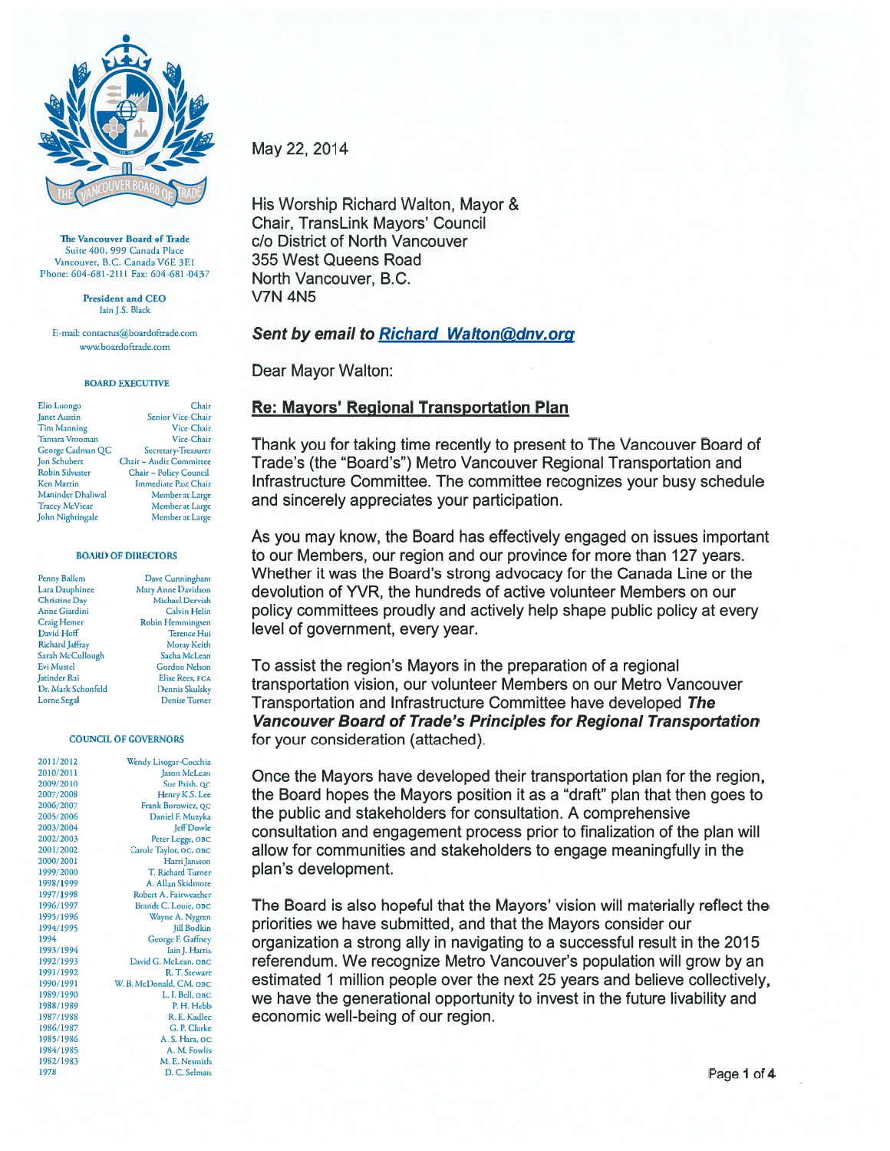

The Vancouver Board of Trade Suite 400, 999 Canada Place Vancouver, B.C. Canada V6E 3E1 Phone: 604-681-2111 Fax: 604-681-0437

> President and CEO Iain J.S. Black

E-mail: contactus@boardoftrade.com www.boardoftrade.com

## **BOARD EXECUTIVE**

| Elio Luongo            | Chair                       |
|------------------------|-----------------------------|
| <b>Janet Austin</b>    | Senior Vice-Chair           |
| <b>Tim Manning</b>     | Vice-Chair                  |
| <b>Tamara Vrooman</b>  | Vice-Chair                  |
| George Cadman QC       | Secretary-Treasurer         |
| Jon Schubert           | Chair - Audit Committee     |
| <b>Robin Silvester</b> | Chair - Policy Council      |
| <b>Ken Martin</b>      | <b>Immediate Past Chair</b> |
| Maninder Dhaliwal      | Member at Large             |
| <b>Tracey McVicar</b>  | Member at Large             |
| John Nightingale       | Member at Large             |

st Chair t Large at Large it Large

#### **BOARD OF DIRECTORS**

| Penny Ballem         |
|----------------------|
| Lara Dauphinee       |
| <b>Christine Day</b> |
| Anne Giardini        |
| <b>Craig Hemer</b>   |
| David Hoff           |
| Richard Jaffray      |
| Sarah McCullough     |
| <b>Evi Mustel</b>    |
| Jatinder Rai         |
| Dr. Mark Schonfeld   |
| <b>Lorne</b> Segal   |

Dave Cunningham Mary Anne Davidson Michael Dervish Calvin Helin Robin Hemmingsen Terence Hui Moray Keith Sacha McLean **Gordon Nelson** Elise Rees, FCA Dennis Skulsky Denise Turner

Chair

### **COUNCIL OF GOVERNORS**

| 2011/2012 | Wendy Lisogar-Cocchia   |
|-----------|-------------------------|
| 2010/2011 | Jason McLean            |
| 2009/2010 | Sue Paish, QC           |
| 2007/2008 | Henry K.S. Lee          |
| 2006/2007 | Frank Borowicz, QC      |
| 2005/2006 | Daniel F. Muzyka        |
| 2003/2004 | <b>Jeff Dowle</b>       |
| 2002/2003 | Peter Legge, OBC        |
| 2001/2002 | Carole Taylor, OC, OBC  |
| 2000/2001 | Harri Jansson           |
| 1999/2000 | T. Richard Turner       |
| 1998/1999 | A. Allan Skidmore       |
| 1997/1998 | Robert A. Fairweather   |
| 1996/1997 | Brandt C. Louie, OBC    |
| 1995/1996 | Wayne A. Nygren         |
| 1994/1995 | <b>Jill Bodkin</b>      |
| 1994      | George F. Gaffney       |
| 1993/1994 | Iain J. Harris          |
| 1992/1993 | David G. McLean, OBC    |
| 1991/1992 | R. T. Stewart           |
| 1990/1991 | W. B. McDonald, CM, OBC |
| 1989/1990 | L. I. Bell, OBC         |
| 1988/1989 | P.H. Hebb               |
| 1987/1988 | R. E. Kadlec            |
| 1986/1987 | G. P. Clarke            |
| 1985/1986 | A. S. Hara, oc          |
| 1984/1985 | A. M. Fowlis            |
| 1982/1983 | M. E. Nesmith           |
| 1978      | D. C. Selman            |

May 22, 2014

His Worship Richard Walton, Mayor & Chair, TransLink Mayors' Council c/o District of North Vancouver 355 West Queens Road North Vancouver, B.C. **V7N 4N5** 

# Sent by email to Richard Walton@dnv.org

Dear Mayor Walton:

# **Re: Mayors' Regional Transportation Plan**

Thank you for taking time recently to present to The Vancouver Board of Trade's (the "Board's") Metro Vancouver Regional Transportation and Infrastructure Committee. The committee recognizes your busy schedule and sincerely appreciates your participation.

As you may know, the Board has effectively engaged on issues important to our Members, our region and our province for more than 127 years. Whether it was the Board's strong advocacy for the Canada Line or the devolution of YVR, the hundreds of active volunteer Members on our policy committees proudly and actively help shape public policy at every level of government, every year.

To assist the region's Mayors in the preparation of a regional transportation vision, our volunteer Members on our Metro Vancouver Transportation and Infrastructure Committee have developed The **Vancouver Board of Trade's Principles for Regional Transportation** for your consideration (attached).

Once the Mayors have developed their transportation plan for the region, the Board hopes the Mayors position it as a "draft" plan that then goes to the public and stakeholders for consultation. A comprehensive consultation and engagement process prior to finalization of the plan will allow for communities and stakeholders to engage meaningfully in the plan's development.

The Board is also hopeful that the Mayors' vision will materially reflect the priorities we have submitted, and that the Mayors consider our organization a strong ally in navigating to a successful result in the 2015 referendum. We recognize Metro Vancouver's population will grow by an estimated 1 million people over the next 25 years and believe collectively, we have the generational opportunity to invest in the future livability and economic well-being of our region.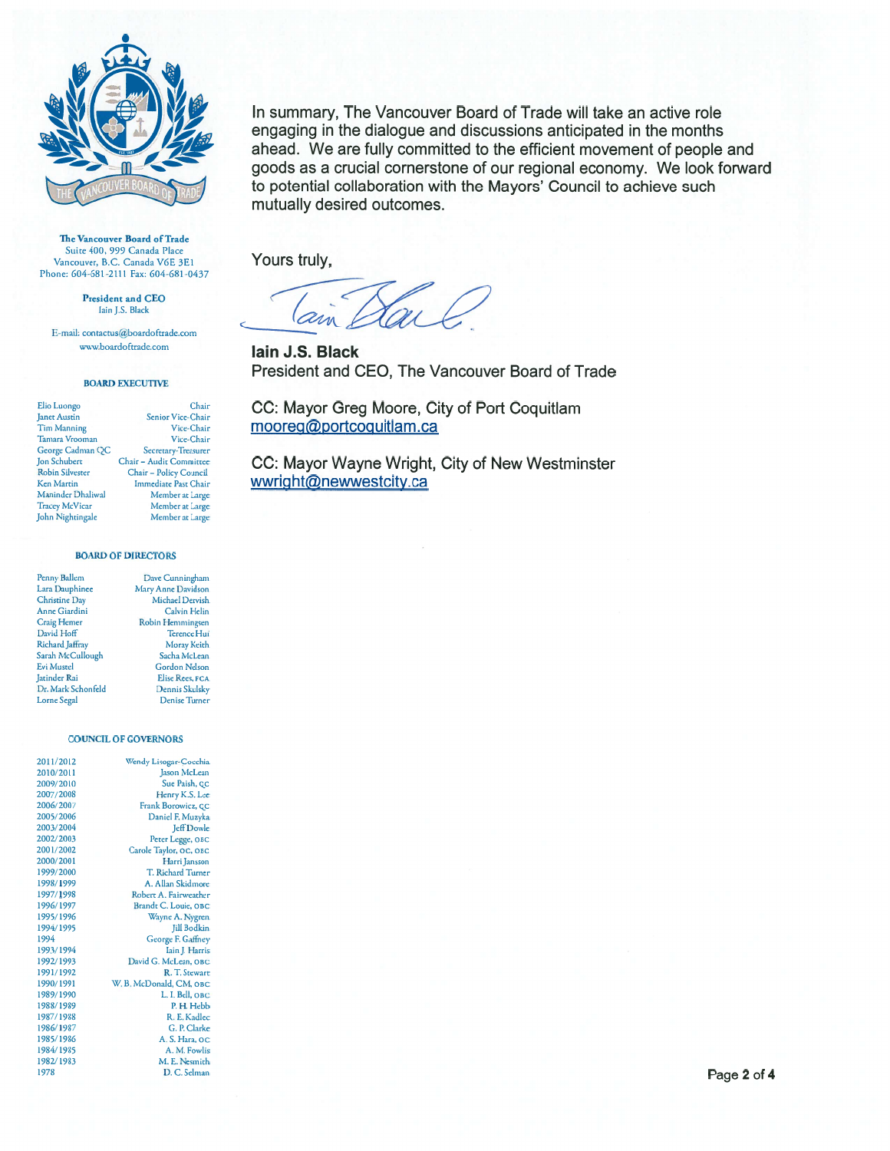

The Vancouver Board of Trade Suite 400, 999 Canada Place Vancouver, B.C. Canada V6E 3E1 Phone: 604-681-2111 Fax: 604-681-0437

President and CEO Iain J.S. Black

E-mail: contactus@boardoftrade.com www.boardoftrade.com

#### **BOARD EXECUTIVE**

| Elio Luongo            | Chair                       |
|------------------------|-----------------------------|
| <b>Janet Austin</b>    | Senior Vice-Chair           |
| <b>Tim Manning</b>     | Vice-Chair                  |
| <b>Tamara Vrooman</b>  | Vice-Chair                  |
| George Cadman QC       | Secretary-Treasurer         |
| <b>Jon Schubert</b>    | Chair - Audit Committee     |
| <b>Robin Silvester</b> | Chair - Policy Council      |
| <b>Ken Martin</b>      | <b>Immediate Past Chair</b> |
| Maninder Dhaliwal      | Member at Large             |
| <b>Tracey McVicar</b>  | Member at Large             |
| John Nightingale       | Member at Large             |

úr air air air rer ee<br>il úr. ge ge

#### **BOARD OF DIRECTORS**

| Penny Ballem         | Dave Cunningham      |
|----------------------|----------------------|
| Lara Dauphinee       | Mary Anne Davidson   |
| <b>Christine Day</b> | Michael Dervish      |
| <b>Anne Giardini</b> | Calvin Helin         |
| Craig Hemer          | Robin Hemmingsen     |
| David Hoff           | <b>Terence Hui</b>   |
| Richard Jaffray      | Moray Keith          |
| Sarah McCullough     | Sacha McLean         |
| <b>Evi Mustel</b>    | <b>Gordon Nelson</b> |
| <b>Jatinder Rai</b>  | Elise Rees, FCA      |
| Dr. Mark Schonfeld   | Dennis Skulsky       |
| <b>Lorne</b> Segal   | <b>Denise Turner</b> |
|                      |                      |

### **COUNCIL OF GOVERNORS**

| 2011/2012 | Wendy Lisogar-Cocchia    |
|-----------|--------------------------|
| 2010/2011 | Jason McLean             |
| 2009/2010 | Sue Paish, QC            |
| 2007/2008 | Henry K.S. Lee           |
| 2006/2007 | Frank Borowicz, QC       |
| 2005/2006 | Daniel F. Muzyka         |
| 2003/2004 | Jeff Dowle               |
| 2002/2003 | Peter Legge, OBC         |
| 2001/2002 | Carole Taylor, OC, OBC   |
| 2000/2001 | Harri Jansson            |
| 1999/2000 | <b>T. Richard Turner</b> |
| 1998/1999 | A. Allan Skidmore        |
| 1997/1998 | Robert A. Fairweather    |
| 1996/1997 | Brandt C. Louie, OBC     |
| 1995/1996 | Wayne A. Nygren          |
| 1994/1995 | Jill Bodkin              |
| 1994      | George F. Gaffney        |
| 1993/1994 | Iain J. Harris           |
| 1992/1993 | David G. McLean, OBC     |
| 1991/1992 | R. T. Stewart            |
| 1990/1991 | W.B. McDonald, CM, OBC   |
| 1989/1990 | L. I. Bell, OBC          |
| 1988/1989 | P.H. Hebb                |
| 1987/1988 | R. E. Kadlec             |
| 1986/1987 | G. P. Clarke             |
| 1985/1986 | A. S. Hara, oc           |
| 1984/1985 | A. M. Fowlis             |
| 1982/1983 | M. E. Nesmith            |
| 1978      | $D \cap$ Selman          |

In summary, The Vancouver Board of Trade will take an active role engaging in the dialogue and discussions anticipated in the months ahead. We are fully committed to the efficient movement of people and goods as a crucial cornerstone of our regional economy. We look forward to potential collaboration with the Mayors' Council to achieve such mutually desired outcomes.

Yours truly,

lain J.S. Black President and CEO, The Vancouver Board of Trade

CC: Mayor Greg Moore, City of Port Coquitlam mooreg@portcoquitlam.ca

CC: Mayor Wayne Wright, City of New Westminster wwright@newwestcity.ca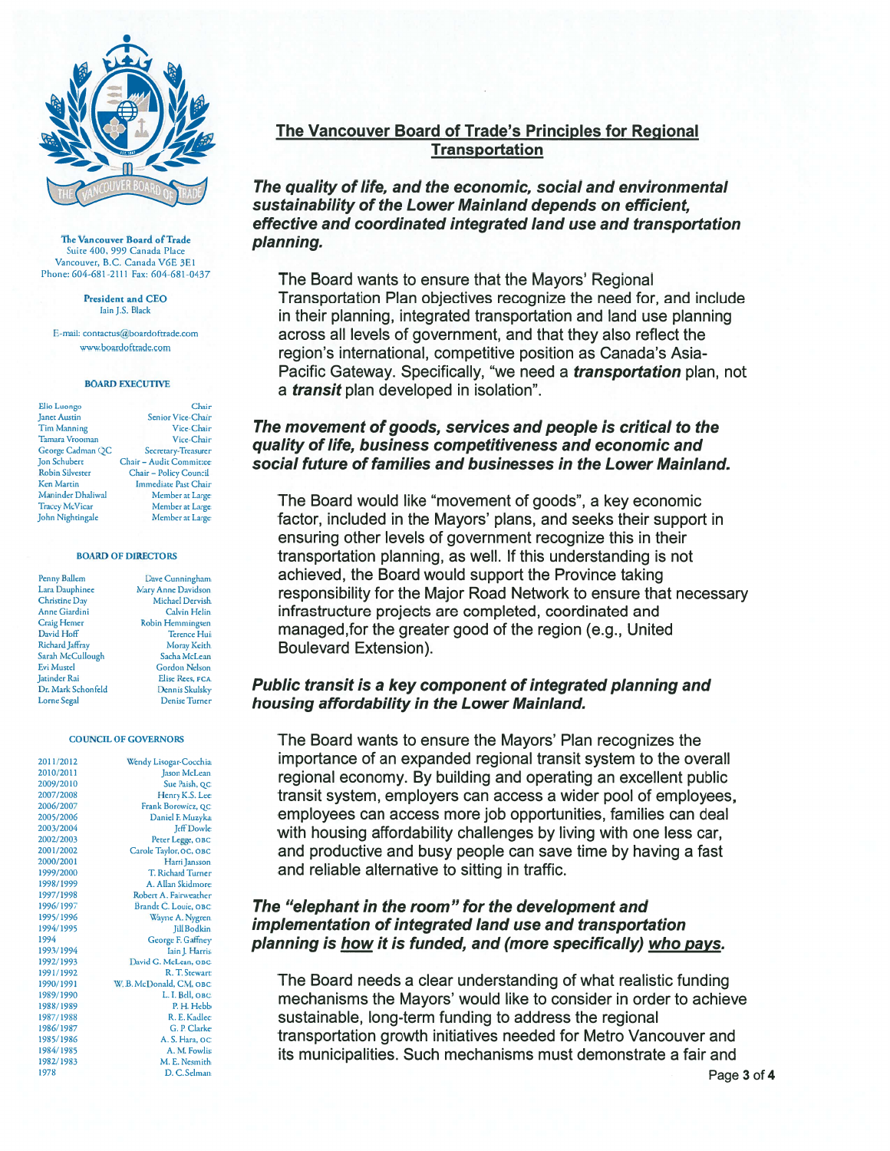

The Vancouver Board of Trade Suite 400, 999 Canada Place Vancouver, B.C. Canada V6E 3E1 Phone: 604-681-2111 Fax: 604-681-0437

> **President and CEO** Iain J.S. Black

E-mail: contactus@boardoftrade.com www.boardoftrade.com

### **BOARD EXECUTIVE**

Elio Luongo Chair **Janet Austin** Senior Vice-Chair Tim Manning Vice-Chair Tamara Vrooman Vice-Chair George Cadman QC Secretary-Treasurer **Jon Schubert** Chair - Audit Committee Robin Silvester Chair - Policy Council Ken Martin Immediate Past Chair Maninder Dhaliwal Member at Large **Tracey McVicar** Member at Large John Nightingale Member at Large

#### **BOARD OF DIRECTORS**

Penny Ballem Lara Dauphinee Christine Day Anne Giardini Craig Hemer David Hoff Richard Jaffray Sarah McCullough Evi Mustel Jatinder Rai Dr. Mark Schonfeld Lorne Segal

Dave Cunningham Mary Anne Davidson Michael Dervish **Calvin Helin** Robin Hemmingsen Terence Hui Moray Keith Sacha McLean **Gordon Nelson** Elise Rees, FCA Dennis Skulsky Denise Turner

#### **COUNCIL OF GOVERNORS**

| 2011/2012 | Wendy Lisogar-Cocchia   |
|-----------|-------------------------|
| 2010/2011 | Jason McLean            |
| 2009/2010 | Sue Paish, QC           |
| 2007/2008 | Henry K.S. Lee          |
| 2006/2007 | Frank Borowicz, QC      |
| 2005/2006 | Daniel F. Muzyka        |
| 2003/2004 | <b>Jeff</b> Dowle       |
| 2002/2003 | Peter Legge, OBC        |
| 2001/2002 | Carole Taylor, OC, OBC  |
| 2000/2001 | Harri Jansson           |
| 1999/2000 | T. Richard Turner       |
| 1998/1999 | A. Allan Skidmore       |
| 1997/1998 | Robert A. Fairweather   |
| 1996/1997 | Brandt C. Louie, OBC    |
| 1995/1996 | Wayne A. Nygren         |
| 1994/1995 | <b>Jill Bodkin</b>      |
| 1994      | George F. Gaffney       |
| 1993/1994 | Iain J. Harris          |
| 1992/1993 | David G. McLean, OBC    |
| 1991/1992 | R. T. Stewart           |
| 1990/1991 | W. B. McDonald, CM, OBC |
| 1989/1990 | L. I. Bell, OBC         |
| 1988/1989 | P.H. Hebb               |
| 1987/1988 | R. E. Kadlec            |
| 1986/1987 | G. P. Clarke            |
| 1985/1986 | A. S. Hara, OC          |
| 1984/1985 | A. M. Fowlis            |
| 1982/1983 | M. E. Nesmith           |
| 1978      | D. C. Selman            |

# The Vancouver Board of Trade's Principles for Regional **Transportation**

The quality of life, and the economic, social and environmental sustainability of the Lower Mainland depends on efficient, effective and coordinated integrated land use and transportation planning.

The Board wants to ensure that the Mayors' Regional Transportation Plan objectives recognize the need for, and include in their planning, integrated transportation and land use planning across all levels of government, and that they also reflect the region's international, competitive position as Canada's Asia-Pacific Gateway. Specifically, "we need a *transportation* plan, not a *transit* plan developed in isolation".

# The movement of goods, services and people is critical to the quality of life, business competitiveness and economic and social future of families and businesses in the Lower Mainland.

The Board would like "movement of goods", a key economic factor, included in the Mayors' plans, and seeks their support in ensuring other levels of government recognize this in their transportation planning, as well. If this understanding is not achieved, the Board would support the Province taking responsibility for the Major Road Network to ensure that necessary infrastructure projects are completed, coordinated and managed, for the greater good of the region (e.g., United **Boulevard Extension).** 

## Public transit is a key component of integrated planning and housing affordability in the Lower Mainland.

The Board wants to ensure the Mayors' Plan recognizes the importance of an expanded regional transit system to the overall regional economy. By building and operating an excellent public transit system, employers can access a wider pool of employees, employees can access more job opportunities, families can deal with housing affordability challenges by living with one less car, and productive and busy people can save time by having a fast and reliable alternative to sitting in traffic.

# The "elephant in the room" for the development and implementation of integrated land use and transportation planning is how it is funded, and (more specifically) who pays.

The Board needs a clear understanding of what realistic funding mechanisms the Mayors' would like to consider in order to achieve sustainable, long-term funding to address the regional transportation growth initiatives needed for Metro Vancouver and its municipalities. Such mechanisms must demonstrate a fair and